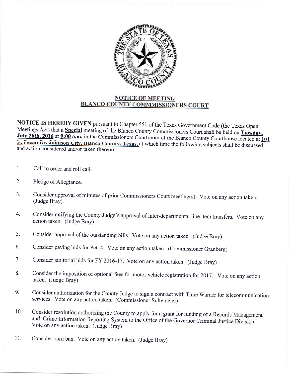

## **NOTICE OF MEETING BLANCO COUNTY COMMMISSIONERS COURT**

NOTICE IS HEREBY GIVEN pursuant to Chapter 551 of the Texas Government Code (the Texas Open Meetings Act) that a **Special** meeting of the Blanco County Commissioners Court shall be held on Tuesday. July 26th, 2016 at 9:00 a.m. in the Commissioners Courtroom of the Blanco County Courthouse located at 101 and action considered and/or taken thereon: E. Pecan Dr, Johnson City, Blanco County, Texas, at which time the following subjects shall be discussed

- 1. Call to order and roll call.
- 2. Pledge of Allegiance.
- 3. Consider approval of minutes of prior Commissioners Court meeting(s). Vote on any action taken. (Judge Bray).
- Consider ratifying the County Judge's approval of inter-departmental line item transfers. Vote on any action taken. (Judge Bray) 4.
- Consider approval of the outstanding bills. Vote on any action taken. (Judge Bray) 5.
- Consider paving bids for Pct.4. Vote on any action taken. (Commissioner Granberg) 6.
- consider janitorial bids for Fy 2016-17. vote on any action taken. (Judge Brayl 7.
- Consider the imposition of optional fees for motor vehicle registration for 2017. Vote on any action taken. (Judge Bray) 8.
- Consider authorization for the County Judge to sign a contract with Time warner for telecommunication services. Vote on any action taken. (Commissioner Sultemeier) 9.
- Consider resolution authorizing the County to apply for a grant for funding of a Records Management and Crime Information Reporting System to the Office of the Governor Criminal Justice Division. Vote on any action taken. 10.
- Consider bum ban. Vote on any action taken. (Judge Bray) 11.